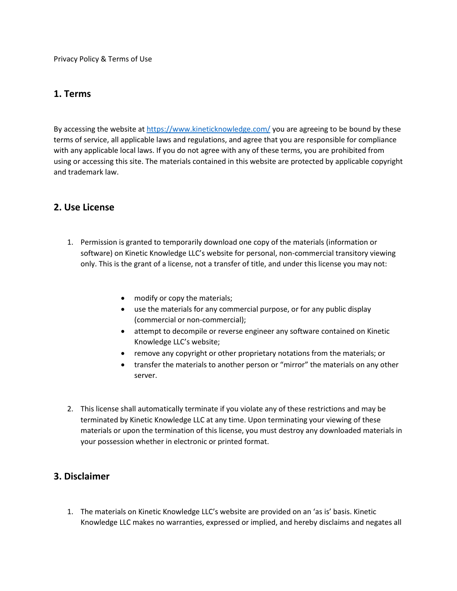Privacy Policy & Terms of Use

#### **1. Terms**

By accessing the website a[t https://www.kineticknowledge.com/](https://www.kineticknowledge.com/) you are agreeing to be bound by these terms of service, all applicable laws and regulations, and agree that you are responsible for compliance with any applicable local laws. If you do not agree with any of these terms, you are prohibited from using or accessing this site. The materials contained in this website are protected by applicable copyright and trademark law.

#### **2. Use License**

- 1. Permission is granted to temporarily download one copy of the materials (information or software) on Kinetic Knowledge LLC's website for personal, non-commercial transitory viewing only. This is the grant of a license, not a transfer of title, and under this license you may not:
	- modify or copy the materials;
	- use the materials for any commercial purpose, or for any public display (commercial or non-commercial);
	- attempt to decompile or reverse engineer any software contained on Kinetic Knowledge LLC's website;
	- remove any copyright or other proprietary notations from the materials; or
	- transfer the materials to another person or "mirror" the materials on any other server.
- 2. This license shall automatically terminate if you violate any of these restrictions and may be terminated by Kinetic Knowledge LLC at any time. Upon terminating your viewing of these materials or upon the termination of this license, you must destroy any downloaded materials in your possession whether in electronic or printed format.

## **3. Disclaimer**

1. The materials on Kinetic Knowledge LLC's website are provided on an 'as is' basis. Kinetic Knowledge LLC makes no warranties, expressed or implied, and hereby disclaims and negates all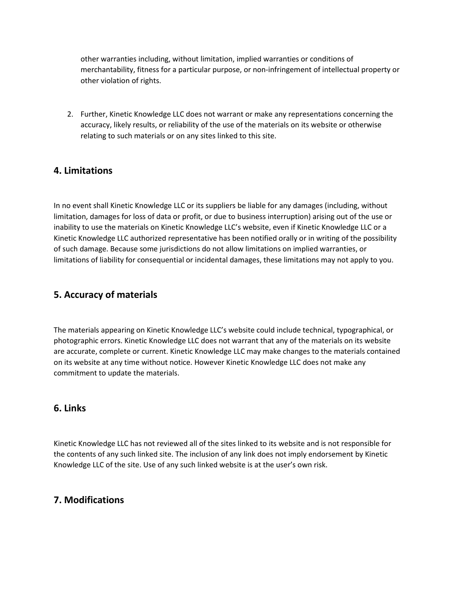other warranties including, without limitation, implied warranties or conditions of merchantability, fitness for a particular purpose, or non-infringement of intellectual property or other violation of rights.

2. Further, Kinetic Knowledge LLC does not warrant or make any representations concerning the accuracy, likely results, or reliability of the use of the materials on its website or otherwise relating to such materials or on any sites linked to this site.

## **4. Limitations**

In no event shall Kinetic Knowledge LLC or its suppliers be liable for any damages (including, without limitation, damages for loss of data or profit, or due to business interruption) arising out of the use or inability to use the materials on Kinetic Knowledge LLC's website, even if Kinetic Knowledge LLC or a Kinetic Knowledge LLC authorized representative has been notified orally or in writing of the possibility of such damage. Because some jurisdictions do not allow limitations on implied warranties, or limitations of liability for consequential or incidental damages, these limitations may not apply to you.

# **5. Accuracy of materials**

The materials appearing on Kinetic Knowledge LLC's website could include technical, typographical, or photographic errors. Kinetic Knowledge LLC does not warrant that any of the materials on its website are accurate, complete or current. Kinetic Knowledge LLC may make changes to the materials contained on its website at any time without notice. However Kinetic Knowledge LLC does not make any commitment to update the materials.

## **6. Links**

Kinetic Knowledge LLC has not reviewed all of the sites linked to its website and is not responsible for the contents of any such linked site. The inclusion of any link does not imply endorsement by Kinetic Knowledge LLC of the site. Use of any such linked website is at the user's own risk.

## **7. Modifications**